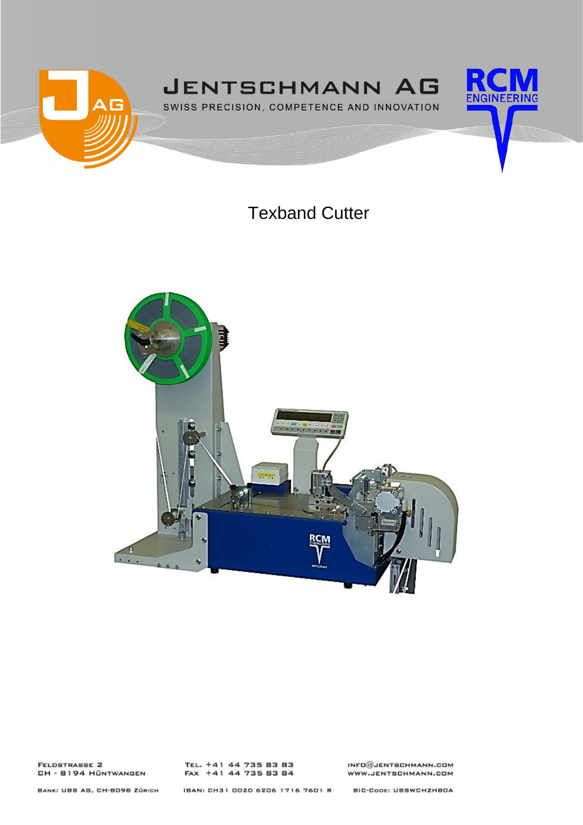

# Texband Cutter



**FELDSTRASSE 2** CH - 8194 HÜNTWANGEN TEL. +41 44 735 83 83<br>FAX +41 44 735 83 84

 $INFO@JENTSCHMANN.CDM$ WWW.JENTSCHMANN.COM

BANK: UBS AG, CH-8098 ZÜRICH

IBAN: CH31 0020 6206 1716 7601 R

**BIC-CODE: UBSWCHZHBOA**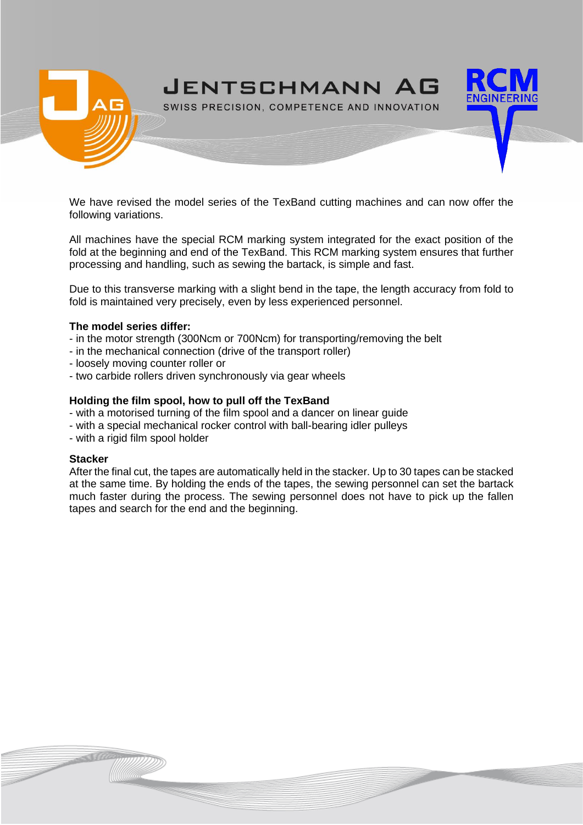

We have revised the model series of the TexBand cutting machines and can now offer the following variations.

All machines have the special RCM marking system integrated for the exact position of the fold at the beginning and end of the TexBand. This RCM marking system ensures that further processing and handling, such as sewing the bartack, is simple and fast.

Due to this transverse marking with a slight bend in the tape, the length accuracy from fold to fold is maintained very precisely, even by less experienced personnel.

#### **The model series differ:**

- in the motor strength (300Ncm or 700Ncm) for transporting/removing the belt
- in the mechanical connection (drive of the transport roller)
- loosely moving counter roller or
- two carbide rollers driven synchronously via gear wheels

#### **Holding the film spool, how to pull off the TexBand**

- with a motorised turning of the film spool and a dancer on linear guide
- with a special mechanical rocker control with ball-bearing idler pulleys
- with a rigid film spool holder

#### **Stacker**

After the final cut, the tapes are automatically held in the stacker. Up to 30 tapes can be stacked at the same time. By holding the ends of the tapes, the sewing personnel can set the bartack much faster during the process. The sewing personnel does not have to pick up the fallen tapes and search for the end and the beginning.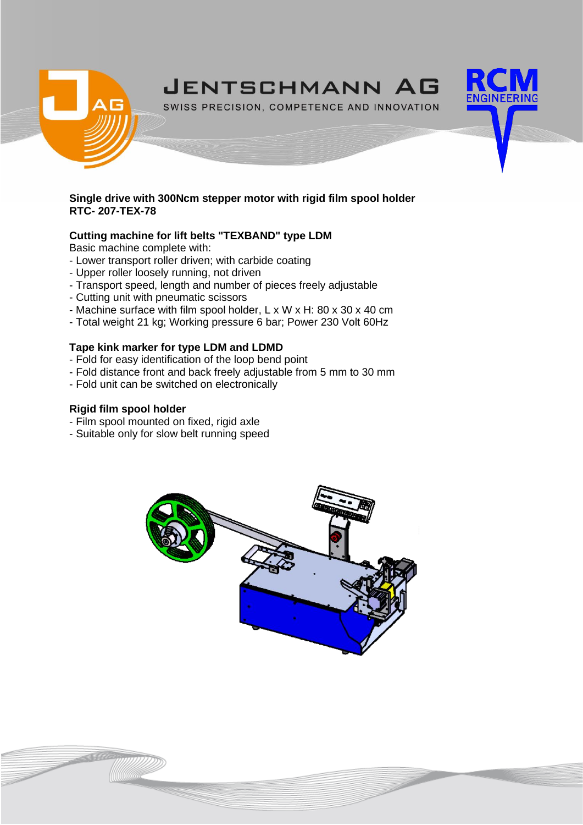

SWISS PRECISION, COMPETENCE AND INNOVATION

# **Single drive with 300Ncm stepper motor with rigid film spool holder RTC- 207-TEX-78**

# **Cutting machine for lift belts "TEXBAND" type LDM**

Basic machine complete with:

- Lower transport roller driven; with carbide coating
- Upper roller loosely running, not driven
- Transport speed, length and number of pieces freely adjustable
- Cutting unit with pneumatic scissors
- Machine surface with film spool holder, L x W x H: 80 x 30 x 40 cm
- Total weight 21 kg; Working pressure 6 bar; Power 230 Volt 60Hz

# **Tape kink marker for type LDM and LDMD**

- Fold for easy identification of the loop bend point
- Fold distance front and back freely adjustable from 5 mm to 30 mm
- Fold unit can be switched on electronically

# **Rigid film spool holder**

- Film spool mounted on fixed, rigid axle
- Suitable only for slow belt running speed

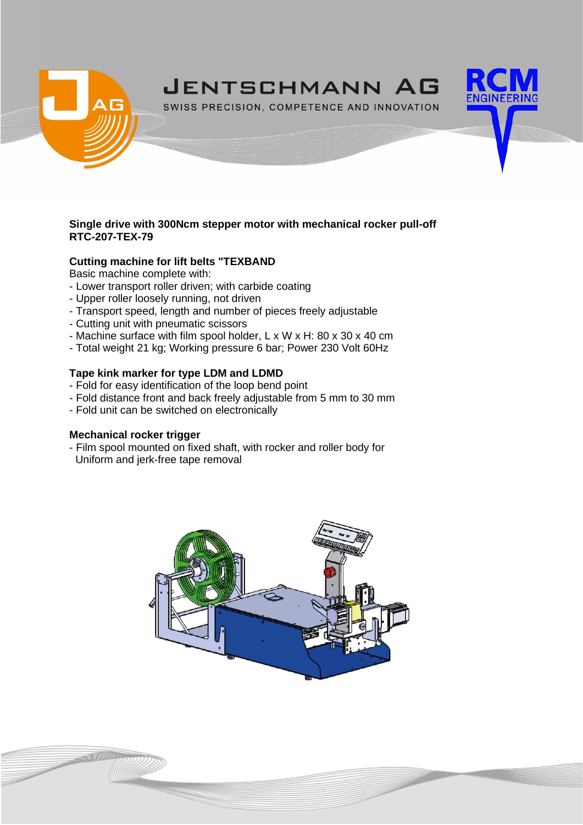

SWISS PRECISION, COMPETENCE AND INNOVATION

# **Single drive with 300Ncm stepper motor with mechanical rocker pull-off RTC-207-TEX-79**

# **Cutting machine for lift belts "TEXBAND**

Basic machine complete with:

- Lower transport roller driven; with carbide coating
- Upper roller loosely running, not driven
- Transport speed, length and number of pieces freely adjustable
- Cutting unit with pneumatic scissors
- Machine surface with film spool holder, L x W x H: 80 x 30 x 40 cm
- Total weight 21 kg; Working pressure 6 bar; Power 230 Volt 60Hz

# **Tape kink marker for type LDM and LDMD**

- Fold for easy identification of the loop bend point
- Fold distance front and back freely adjustable from 5 mm to 30 mm
- Fold unit can be switched on electronically

# **Mechanical rocker trigger**

- Film spool mounted on fixed shaft, with rocker and roller body for Uniform and jerk-free tape removal



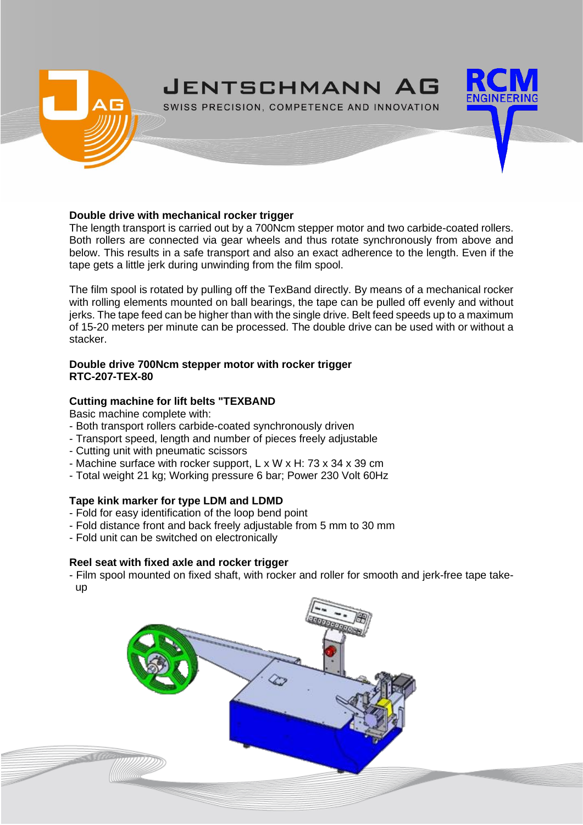

#### **Double drive with mechanical rocker trigger**

The length transport is carried out by a 700Ncm stepper motor and two carbide-coated rollers. Both rollers are connected via gear wheels and thus rotate synchronously from above and below. This results in a safe transport and also an exact adherence to the length. Even if the tape gets a little jerk during unwinding from the film spool.

The film spool is rotated by pulling off the TexBand directly. By means of a mechanical rocker with rolling elements mounted on ball bearings, the tape can be pulled off evenly and without jerks. The tape feed can be higher than with the single drive. Belt feed speeds up to a maximum of 15-20 meters per minute can be processed. The double drive can be used with or without a stacker.

#### **Double drive 700Ncm stepper motor with rocker trigger RTC-207-TEX-80**

#### **Cutting machine for lift belts "TEXBAND**

Basic machine complete with:

- Both transport rollers carbide-coated synchronously driven
- Transport speed, length and number of pieces freely adjustable
- Cutting unit with pneumatic scissors
- Machine surface with rocker support, L x W x H: 73 x 34 x 39 cm
- Total weight 21 kg; Working pressure 6 bar; Power 230 Volt 60Hz

# **Tape kink marker for type LDM and LDMD**

- Fold for easy identification of the loop bend point
- Fold distance front and back freely adjustable from 5 mm to 30 mm
- Fold unit can be switched on electronically

# **Reel seat with fixed axle and rocker trigger**

- Film spool mounted on fixed shaft, with rocker and roller for smooth and jerk-free tape take up

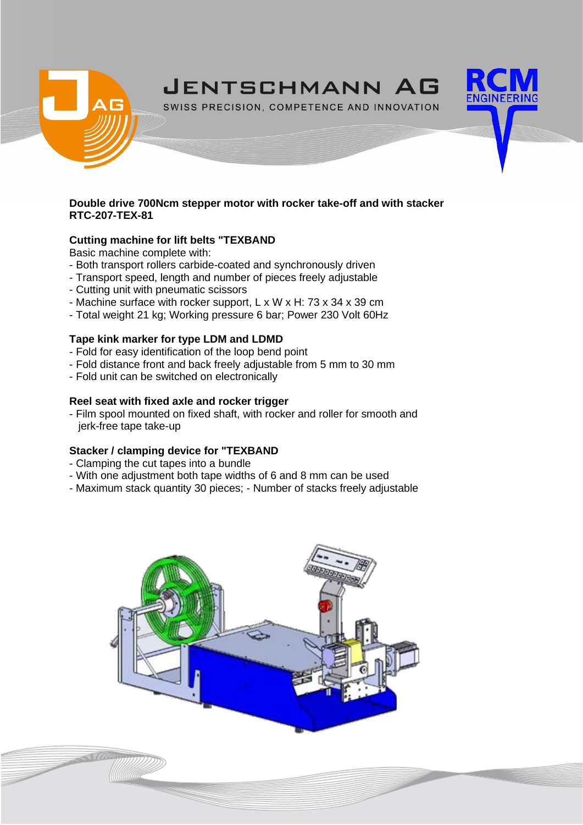

SWISS PRECISION, COMPETENCE AND INNOVATION

#### **Double drive 700Ncm stepper motor with rocker take-off and with stacker RTC-207-TEX-81**

# **Cutting machine for lift belts "TEXBAND**

Basic machine complete with:

- Both transport rollers carbide-coated and synchronously driven
- Transport speed, length and number of pieces freely adjustable
- Cutting unit with pneumatic scissors
- Machine surface with rocker support, L x W x H: 73 x 34 x 39 cm
- Total weight 21 kg; Working pressure 6 bar; Power 230 Volt 60Hz

# **Tape kink marker for type LDM and LDMD**

- Fold for easy identification of the loop bend point
- Fold distance front and back freely adjustable from 5 mm to 30 mm
- Fold unit can be switched on electronically

# **Reel seat with fixed axle and rocker trigger**

- Film spool mounted on fixed shaft, with rocker and roller for smooth and jerk-free tape take-up

# **Stacker / clamping device for "TEXBAND**

- Clamping the cut tapes into a bundle
- With one adjustment both tape widths of 6 and 8 mm can be used
- Maximum stack quantity 30 pieces; Number of stacks freely adjustable

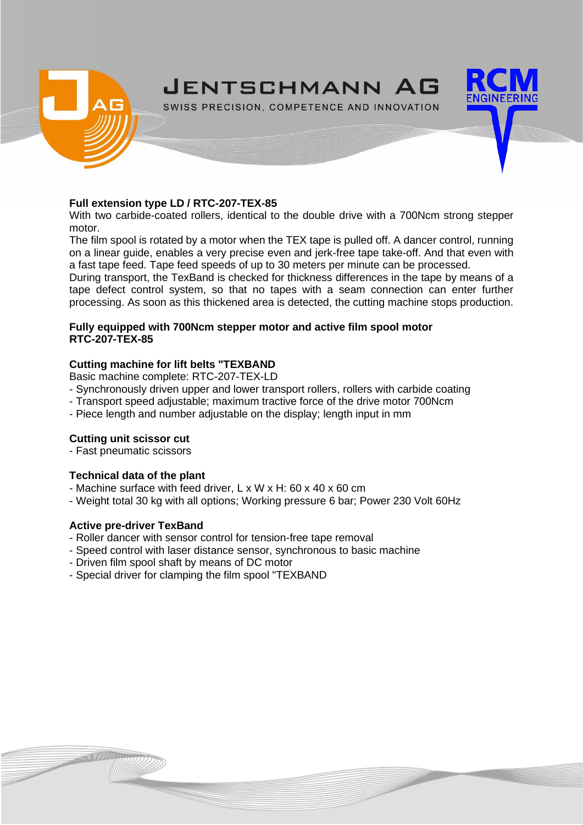

#### **Full extension type LD / RTC-207-TEX-85**

With two carbide-coated rollers, identical to the double drive with a 700Ncm strong stepper motor.

The film spool is rotated by a motor when the TEX tape is pulled off. A dancer control, running on a linear guide, enables a very precise even and jerk-free tape take-off. And that even with a fast tape feed. Tape feed speeds of up to 30 meters per minute can be processed.

During transport, the TexBand is checked for thickness differences in the tape by means of a tape defect control system, so that no tapes with a seam connection can enter further processing. As soon as this thickened area is detected, the cutting machine stops production.

#### **Fully equipped with 700Ncm stepper motor and active film spool motor RTC-207-TEX-85**

# **Cutting machine for lift belts "TEXBAND**

Basic machine complete: RTC-207-TEX-LD

- Synchronously driven upper and lower transport rollers, rollers with carbide coating
- Transport speed adjustable; maximum tractive force of the drive motor 700Ncm
- Piece length and number adjustable on the display; length input in mm

# **Cutting unit scissor cut**

- Fast pneumatic scissors

# **Technical data of the plant**

- Machine surface with feed driver, L x W x H: 60 x 40 x 60 cm
- Weight total 30 kg with all options; Working pressure 6 bar; Power 230 Volt 60Hz

# **Active pre-driver TexBand**

- Roller dancer with sensor control for tension-free tape removal
- Speed control with laser distance sensor, synchronous to basic machine
- Driven film spool shaft by means of DC motor
- Special driver for clamping the film spool "TEXBAND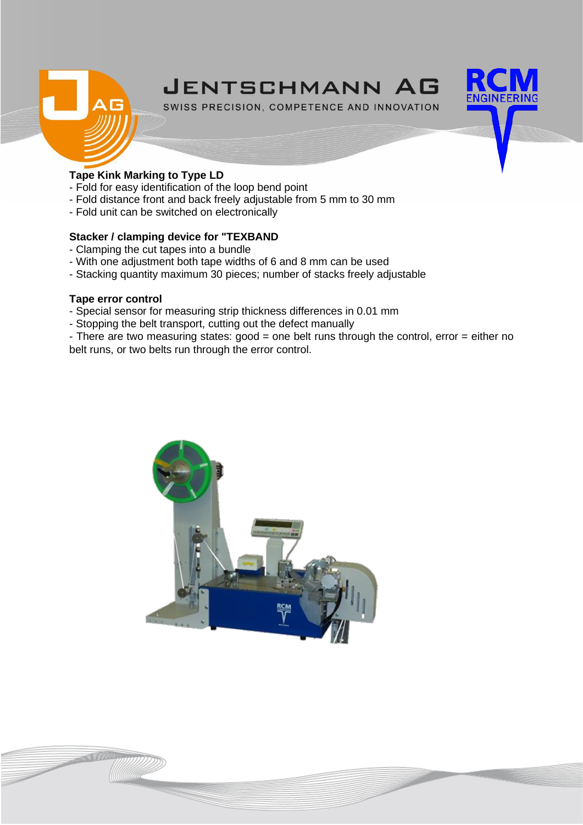



SWISS PRECISION, COMPETENCE AND INNOVATION

# **Tape Kink Marking to Type LD**

- Fold for easy identification of the loop bend point
- Fold distance front and back freely adjustable from 5 mm to 30 mm
- Fold unit can be switched on electronically

# **Stacker / clamping device for "TEXBAND**

- Clamping the cut tapes into a bundle
- With one adjustment both tape widths of 6 and 8 mm can be used
- Stacking quantity maximum 30 pieces; number of stacks freely adjustable

# **Tape error control**

- Special sensor for measuring strip thickness differences in 0.01 mm
- Stopping the belt transport, cutting out the defect manually

- There are two measuring states: good = one belt runs through the control, error = either no belt runs, or two belts run through the error control.

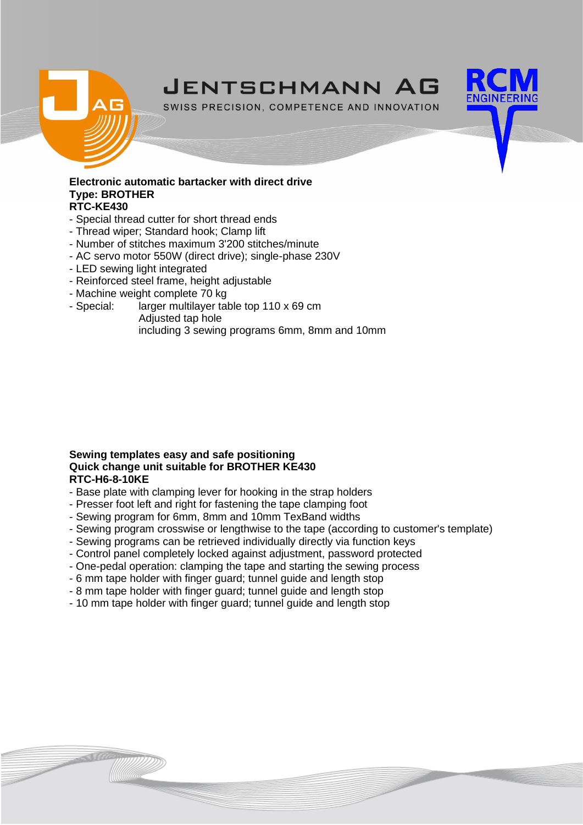



SWISS PRECISION, COMPETENCE AND INNOVATION

#### **Electronic automatic bartacker with direct drive Type: BROTHER RTC-KE430**

- Special thread cutter for short thread ends
- Thread wiper; Standard hook; Clamp lift
- Number of stitches maximum 3'200 stitches/minute
- AC servo motor 550W (direct drive); single-phase 230V
- LED sewing light integrated
- Reinforced steel frame, height adjustable
- Machine weight complete 70 kg
- Special: larger multilayer table top 110 x 69 cm Adjusted tap hole
	- including 3 sewing programs 6mm, 8mm and 10mm

#### **Sewing templates easy and safe positioning Quick change unit suitable for BROTHER KE430 RTC-H6-8-10KE**

- Base plate with clamping lever for hooking in the strap holders
- Presser foot left and right for fastening the tape clamping foot
- Sewing program for 6mm, 8mm and 10mm TexBand widths
- Sewing program crosswise or lengthwise to the tape (according to customer's template)
- Sewing programs can be retrieved individually directly via function keys
- Control panel completely locked against adjustment, password protected
- One-pedal operation: clamping the tape and starting the sewing process
- 6 mm tape holder with finger guard; tunnel guide and length stop
- 8 mm tape holder with finger guard; tunnel guide and length stop
- 10 mm tape holder with finger guard; tunnel guide and length stop